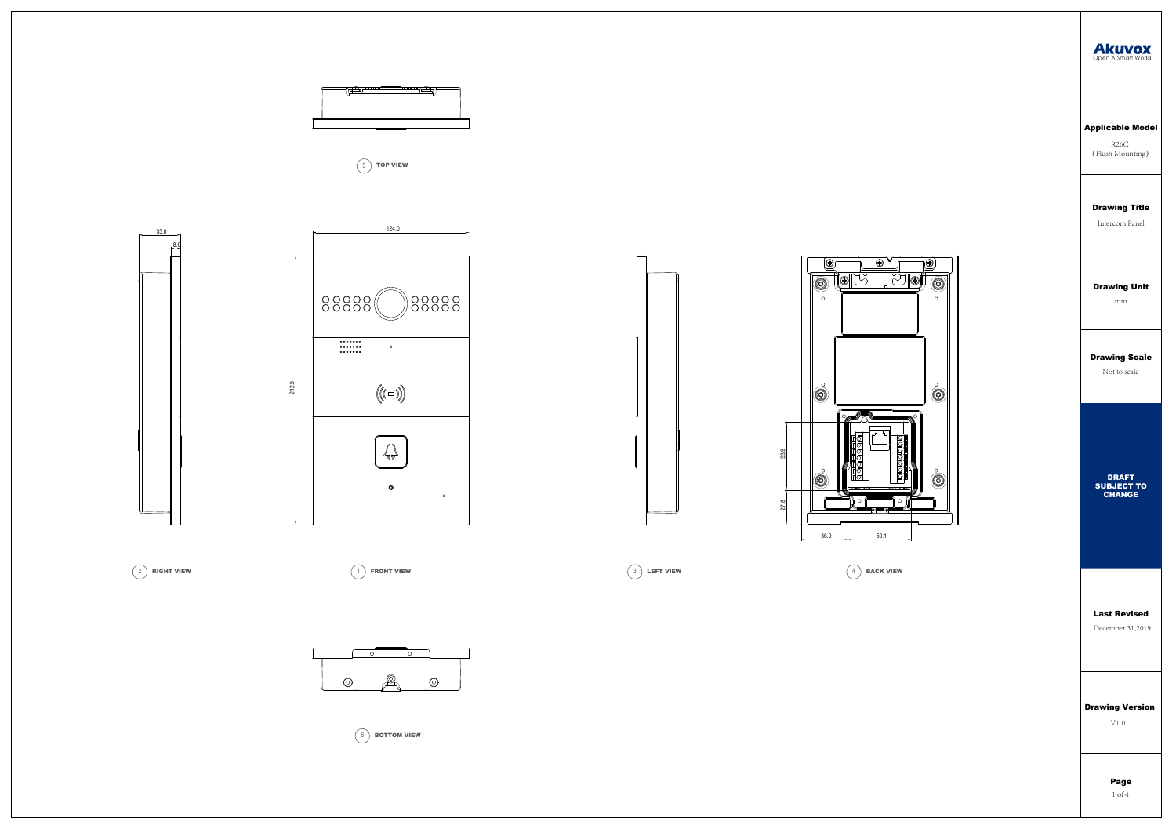# Drawing Title

Intercom Panel

# Applicable Model

R26C (Flush Mounting)

### Drawing Scale

Not to scale

### Drawing Unit

mm

Last Revised

December 31,2019

# Drawing Version

V1.0

Page 1 of 4

















 $\left(\begin{array}{c} 6 \end{array}\right)$  BOTTOM VIEW









27.8 53.9

27.8

53.9

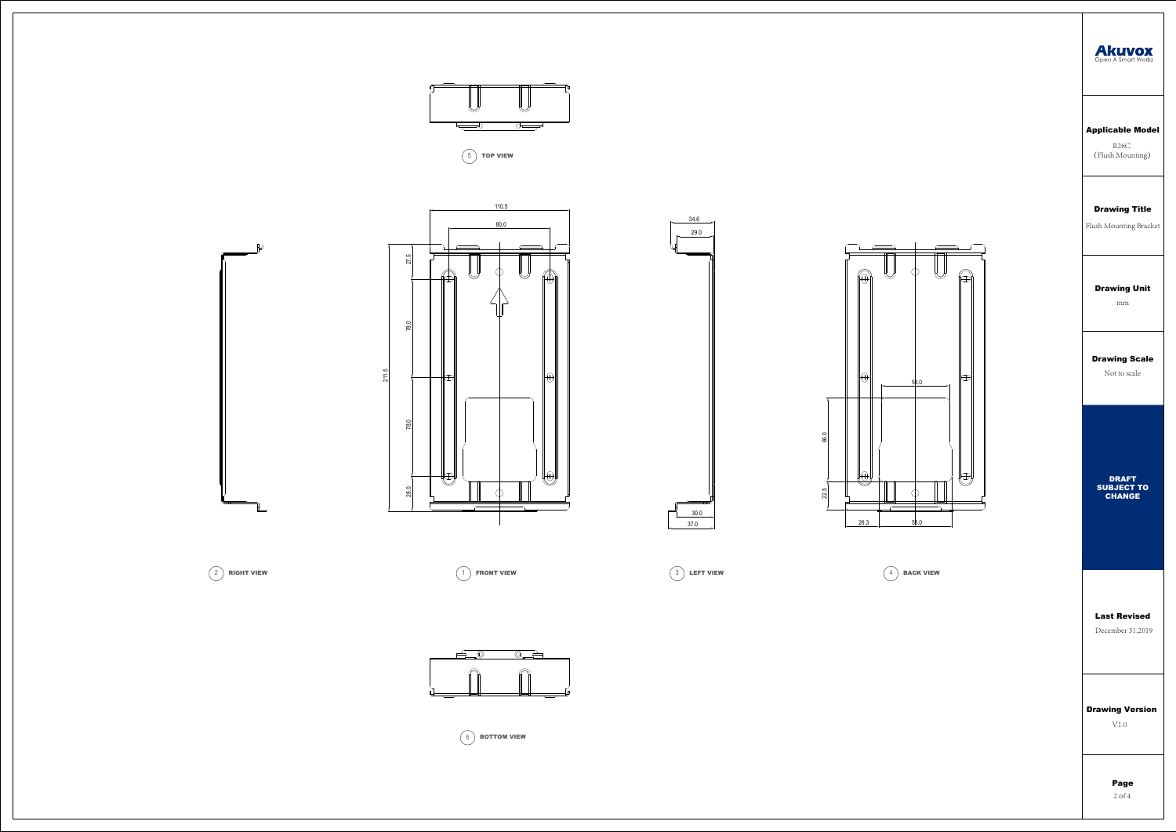

 $(2)$  RIGHT VIEW

#### D rawing Title

Flush Mounting Bracket

### Applicable Model

R26C (Flush Mounting)



Not to scale

#### D rawing Unit

mm

Last Revised December 31,2019

### Drawing Version

V1.0 Page 2 of 4

#### DRAFT SUBJECT TO CHANGE





 $\begin{pmatrix} 6 \end{pmatrix}$  BOTTOM VIEW









 $\left(5\right)$  TOP VIEW





 $\begin{pmatrix} 4 \end{pmatrix}$  BACK VIEW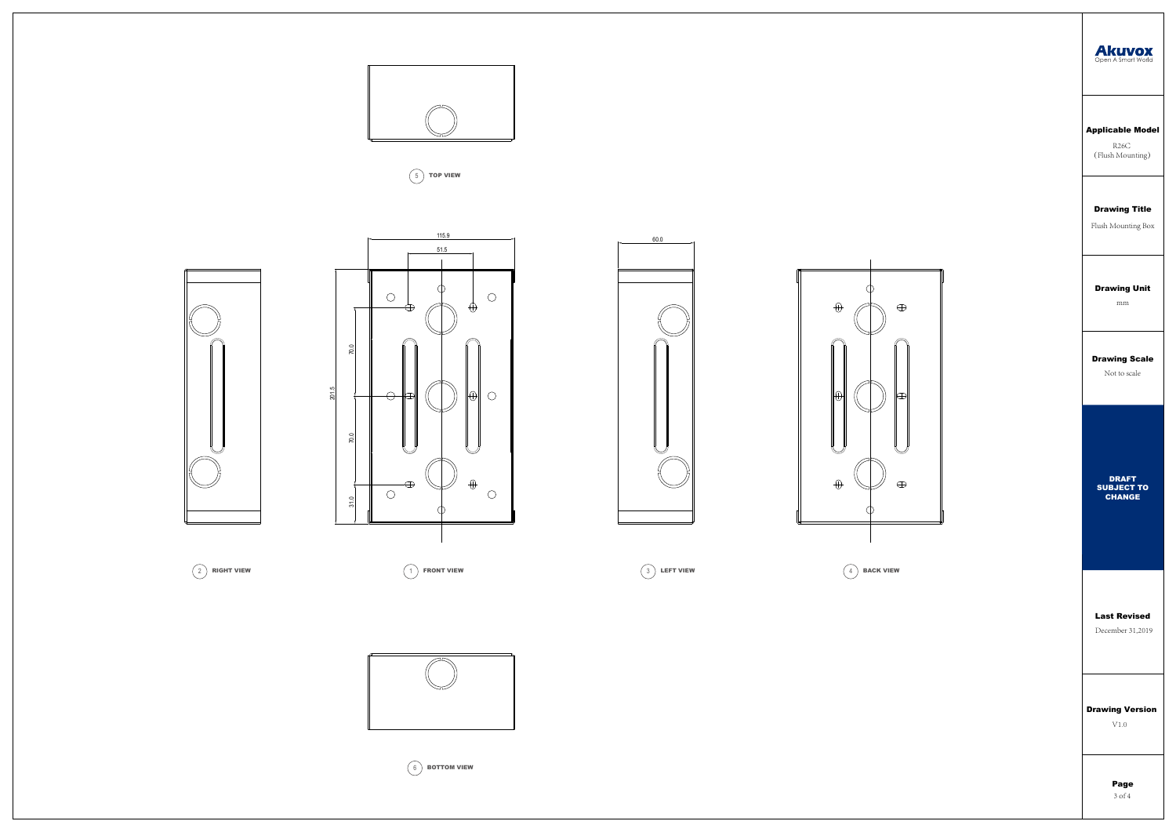# Drawing Title

Flush Mounting Box

# Applicable Model

R26C (Flush Mounting)

Drawing Scale

Not to scale

Drawing Unit

mm





Last Revised December 31,2019

Drawing Version

V1.0

Page 3 of 4

DRAFT SUBJECT TO

CHANGE